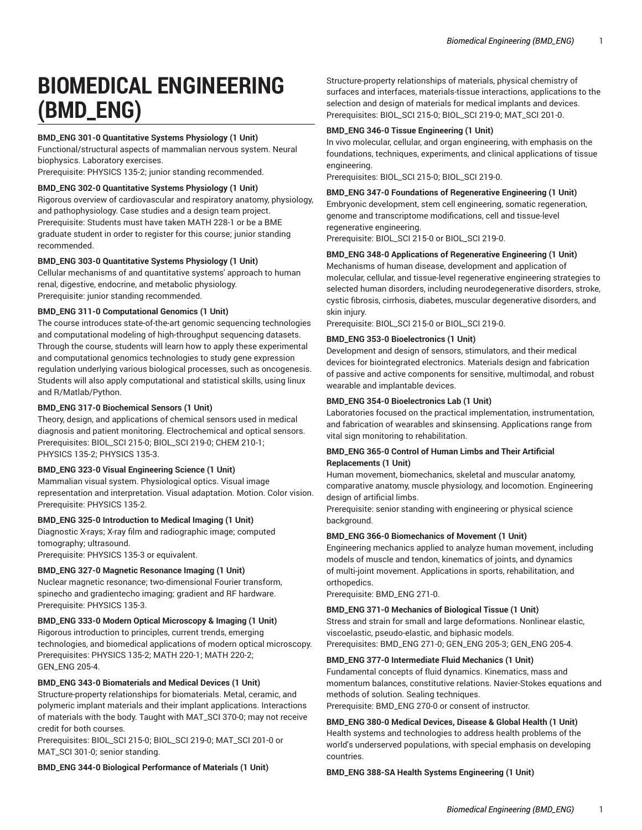# **BIOMEDICAL ENGINEERING (BMD\_ENG)**

# **BMD\_ENG 301-0 Quantitative Systems Physiology (1 Unit)**

Functional/structural aspects of mammalian nervous system. Neural biophysics. Laboratory exercises.

Prerequisite: PHYSICS 135-2; junior standing recommended.

# **BMD\_ENG 302-0 Quantitative Systems Physiology (1 Unit)**

Rigorous overview of cardiovascular and respiratory anatomy, physiology, and pathophysiology. Case studies and a design team project. Prerequisite: Students must have taken MATH 228-1 or be a BME graduate student in order to register for this course; junior standing recommended.

#### **BMD\_ENG 303-0 Quantitative Systems Physiology (1 Unit)**

Cellular mechanisms of and quantitative systems' approach to human renal, digestive, endocrine, and metabolic physiology. Prerequisite: junior standing recommended.

#### **BMD\_ENG 311-0 Computational Genomics (1 Unit)**

The course introduces state-of-the-art genomic sequencing technologies and computational modeling of high-throughput sequencing datasets. Through the course, students will learn how to apply these experimental and computational genomics technologies to study gene expression regulation underlying various biological processes, such as oncogenesis. Students will also apply computational and statistical skills, using linux and R/Matlab/Python.

# **BMD\_ENG 317-0 Biochemical Sensors (1 Unit)**

Theory, design, and applications of chemical sensors used in medical diagnosis and patient monitoring. Electrochemical and optical sensors. Prerequisites: BIOL\_SCI 215-0; BIOL\_SCI 219-0; CHEM 210-1; PHYSICS 135-2; PHYSICS 135-3.

#### **BMD\_ENG 323-0 Visual Engineering Science (1 Unit)**

Mammalian visual system. Physiological optics. Visual image representation and interpretation. Visual adaptation. Motion. Color vision. Prerequisite: PHYSICS 135-2.

#### **BMD\_ENG 325-0 Introduction to Medical Imaging (1 Unit)**

Diagnostic X-rays; X-ray film and radiographic image; computed tomography; ultrasound.

Prerequisite: PHYSICS 135-3 or equivalent.

# **BMD\_ENG 327-0 Magnetic Resonance Imaging (1 Unit)**

Nuclear magnetic resonance; two-dimensional Fourier transform, spinecho and gradientecho imaging; gradient and RF hardware. Prerequisite: PHYSICS 135-3.

# **BMD\_ENG 333-0 Modern Optical Microscopy & Imaging (1 Unit)**

Rigorous introduction to principles, current trends, emerging technologies, and biomedical applications of modern optical microscopy. Prerequisites: PHYSICS 135-2; MATH 220-1; MATH 220-2; GEN\_ENG 205-4.

# **BMD\_ENG 343-0 Biomaterials and Medical Devices (1 Unit)**

Structure-property relationships for biomaterials. Metal, ceramic, and polymeric implant materials and their implant applications. Interactions of materials with the body. Taught with MAT\_SCI 370-0; may not receive credit for both courses.

Prerequisites: BIOL\_SCI 215-0; BIOL\_SCI 219-0; MAT\_SCI 201-0 or MAT\_SCI 301-0; senior standing.

**BMD\_ENG 344-0 Biological Performance of Materials (1 Unit)**

Structure-property relationships of materials, physical chemistry of surfaces and interfaces, materials-tissue interactions, applications to the selection and design of materials for medical implants and devices. Prerequisites: BIOL\_SCI 215-0; BIOL\_SCI 219-0; MAT\_SCI 201-0.

#### **BMD\_ENG 346-0 Tissue Engineering (1 Unit)**

In vivo molecular, cellular, and organ engineering, with emphasis on the foundations, techniques, experiments, and clinical applications of tissue engineering.

Prerequisites: BIOL\_SCI 215-0; BIOL\_SCI 219-0.

#### **BMD\_ENG 347-0 Foundations of Regenerative Engineering (1 Unit)**

Embryonic development, stem cell engineering, somatic regeneration, genome and transcriptome modifications, cell and tissue-level regenerative engineering.

Prerequisite: BIOL\_SCI 215-0 or BIOL\_SCI 219-0.

### **BMD\_ENG 348-0 Applications of Regenerative Engineering (1 Unit)**

Mechanisms of human disease, development and application of molecular, cellular, and tissue-level regenerative engineering strategies to selected human disorders, including neurodegenerative disorders, stroke, cystic fibrosis, cirrhosis, diabetes, muscular degenerative disorders, and skin injury.

Prerequisite: BIOL\_SCI 215-0 or BIOL\_SCI 219-0.

#### **BMD\_ENG 353-0 Bioelectronics (1 Unit)**

Development and design of sensors, stimulators, and their medical devices for biointegrated electronics. Materials design and fabrication of passive and active components for sensitive, multimodal, and robust wearable and implantable devices.

#### **BMD\_ENG 354-0 Bioelectronics Lab (1 Unit)**

Laboratories focused on the practical implementation, instrumentation, and fabrication of wearables and skinsensing. Applications range from vital sign monitoring to rehabilitation.

### **BMD\_ENG 365-0 Control of Human Limbs and Their Artificial Replacements (1 Unit)**

Human movement, biomechanics, skeletal and muscular anatomy, comparative anatomy, muscle physiology, and locomotion. Engineering design of artificial limbs.

Prerequisite: senior standing with engineering or physical science background.

#### **BMD\_ENG 366-0 Biomechanics of Movement (1 Unit)**

Engineering mechanics applied to analyze human movement, including models of muscle and tendon, kinematics of joints, and dynamics of multi-joint movement. Applications in sports, rehabilitation, and orthopedics.

Prerequisite: BMD\_ENG 271-0.

#### **BMD\_ENG 371-0 Mechanics of Biological Tissue (1 Unit)**

Stress and strain for small and large deformations. Nonlinear elastic, viscoelastic, pseudo-elastic, and biphasic models. Prerequisites: BMD\_ENG 271-0; GEN\_ENG 205-3; GEN\_ENG 205-4.

#### **BMD\_ENG 377-0 Intermediate Fluid Mechanics (1 Unit)**

Fundamental concepts of fluid dynamics. Kinematics, mass and momentum balances, constitutive relations. Navier-Stokes equations and methods of solution. Sealing techniques. Prerequisite: BMD\_ENG 270-0 or consent of instructor.

# **BMD\_ENG 380-0 Medical Devices, Disease & Global Health (1 Unit)**

Health systems and technologies to address health problems of the world's underserved populations, with special emphasis on developing countries.

#### **BMD\_ENG 388-SA Health Systems Engineering (1 Unit)**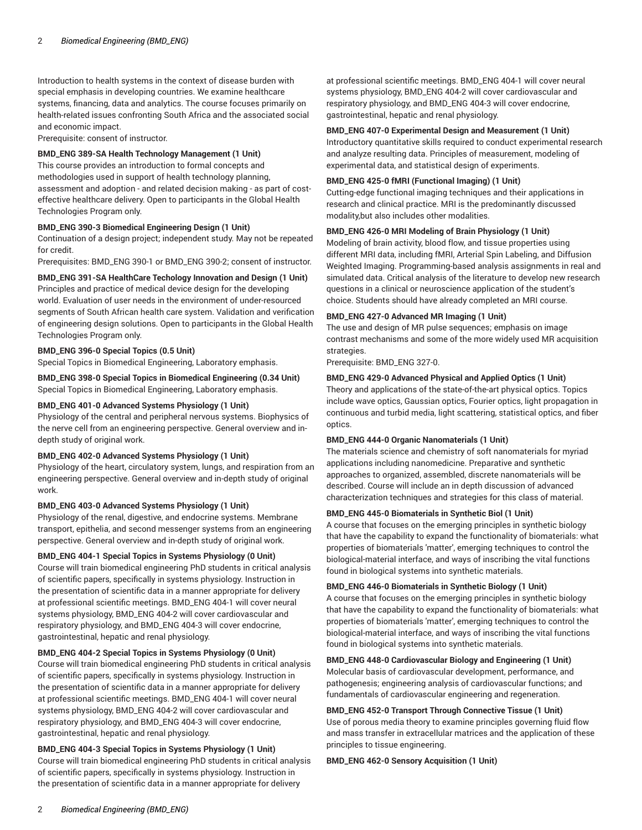Introduction to health systems in the context of disease burden with special emphasis in developing countries. We examine healthcare systems, financing, data and analytics. The course focuses primarily on health-related issues confronting South Africa and the associated social and economic impact.

Prerequisite: consent of instructor.

# **BMD\_ENG 389-SA Health Technology Management (1 Unit)**

This course provides an introduction to formal concepts and methodologies used in support of health technology planning, assessment and adoption - and related decision making - as part of costeffective healthcare delivery. Open to participants in the Global Health Technologies Program only.

# **BMD\_ENG 390-3 Biomedical Engineering Design (1 Unit)**

Continuation of a design project; independent study. May not be repeated for credit.

Prerequisites: BMD\_ENG 390-1 or BMD\_ENG 390-2; consent of instructor.

#### **BMD\_ENG 391-SA HealthCare Techology Innovation and Design (1 Unit)**

Principles and practice of medical device design for the developing world. Evaluation of user needs in the environment of under-resourced segments of South African health care system. Validation and verification of engineering design solutions. Open to participants in the Global Health Technologies Program only.

#### **BMD\_ENG 396-0 Special Topics (0.5 Unit)**

Special Topics in Biomedical Engineering, Laboratory emphasis.

#### **BMD\_ENG 398-0 Special Topics in Biomedical Engineering (0.34 Unit)** Special Topics in Biomedical Engineering, Laboratory emphasis.

#### **BMD\_ENG 401-0 Advanced Systems Physiology (1 Unit)**

Physiology of the central and peripheral nervous systems. Biophysics of the nerve cell from an engineering perspective. General overview and indepth study of original work.

#### **BMD\_ENG 402-0 Advanced Systems Physiology (1 Unit)**

Physiology of the heart, circulatory system, lungs, and respiration from an engineering perspective. General overview and in-depth study of original work.

#### **BMD\_ENG 403-0 Advanced Systems Physiology (1 Unit)**

Physiology of the renal, digestive, and endocrine systems. Membrane transport, epithelia, and second messenger systems from an engineering perspective. General overview and in-depth study of original work.

# **BMD\_ENG 404-1 Special Topics in Systems Physiology (0 Unit)**

Course will train biomedical engineering PhD students in critical analysis of scientific papers, specifically in systems physiology. Instruction in the presentation of scientific data in a manner appropriate for delivery at professional scientific meetings. BMD\_ENG 404-1 will cover neural systems physiology, BMD\_ENG 404-2 will cover cardiovascular and respiratory physiology, and BMD\_ENG 404-3 will cover endocrine, gastrointestinal, hepatic and renal physiology.

# **BMD\_ENG 404-2 Special Topics in Systems Physiology (0 Unit)**

Course will train biomedical engineering PhD students in critical analysis of scientific papers, specifically in systems physiology. Instruction in the presentation of scientific data in a manner appropriate for delivery at professional scientific meetings. BMD\_ENG 404-1 will cover neural systems physiology, BMD\_ENG 404-2 will cover cardiovascular and respiratory physiology, and BMD\_ENG 404-3 will cover endocrine, gastrointestinal, hepatic and renal physiology.

# **BMD\_ENG 404-3 Special Topics in Systems Physiology (1 Unit)**

Course will train biomedical engineering PhD students in critical analysis of scientific papers, specifically in systems physiology. Instruction in the presentation of scientific data in a manner appropriate for delivery

at professional scientific meetings. BMD\_ENG 404-1 will cover neural systems physiology, BMD\_ENG 404-2 will cover cardiovascular and respiratory physiology, and BMD\_ENG 404-3 will cover endocrine, gastrointestinal, hepatic and renal physiology.

#### **BMD\_ENG 407-0 Experimental Design and Measurement (1 Unit)**

Introductory quantitative skills required to conduct experimental research and analyze resulting data. Principles of measurement, modeling of experimental data, and statistical design of experiments.

# **BMD\_ENG 425-0 fMRI (Functional Imaging) (1 Unit)**

Cutting-edge functional imaging techniques and their applications in research and clinical practice. MRI is the predominantly discussed modality,but also includes other modalities.

#### **BMD\_ENG 426-0 MRI Modeling of Brain Physiology (1 Unit)**

Modeling of brain activity, blood flow, and tissue properties using different MRI data, including fMRI, Arterial Spin Labeling, and Diffusion Weighted Imaging. Programming-based analysis assignments in real and simulated data. Critical analysis of the literature to develop new research questions in a clinical or neuroscience application of the student's choice. Students should have already completed an MRI course.

# **BMD\_ENG 427-0 Advanced MR Imaging (1 Unit)**

The use and design of MR pulse sequences; emphasis on image contrast mechanisms and some of the more widely used MR acquisition strategies.

Prerequisite: BMD\_ENG 327-0.

#### **BMD\_ENG 429-0 Advanced Physical and Applied Optics (1 Unit)**

Theory and applications of the state-of-the-art physical optics. Topics include wave optics, Gaussian optics, Fourier optics, light propagation in continuous and turbid media, light scattering, statistical optics, and fiber optics.

#### **BMD\_ENG 444-0 Organic Nanomaterials (1 Unit)**

The materials science and chemistry of soft nanomaterials for myriad applications including nanomedicine. Preparative and synthetic approaches to organized, assembled, discrete nanomaterials will be described. Course will include an in depth discussion of advanced characterization techniques and strategies for this class of material.

#### **BMD\_ENG 445-0 Biomaterials in Synthetic Biol (1 Unit)**

A course that focuses on the emerging principles in synthetic biology that have the capability to expand the functionality of biomaterials: what properties of biomaterials 'matter', emerging techniques to control the biological-material interface, and ways of inscribing the vital functions found in biological systems into synthetic materials.

#### **BMD\_ENG 446-0 Biomaterials in Synthetic Biology (1 Unit)**

A course that focuses on the emerging principles in synthetic biology that have the capability to expand the functionality of biomaterials: what properties of biomaterials 'matter', emerging techniques to control the biological-material interface, and ways of inscribing the vital functions found in biological systems into synthetic materials.

**BMD\_ENG 448-0 Cardiovascular Biology and Engineering (1 Unit)** Molecular basis of cardiovascular development, performance, and pathogenesis; engineering analysis of cardiovascular functions; and fundamentals of cardiovascular engineering and regeneration.

# **BMD\_ENG 452-0 Transport Through Connective Tissue (1 Unit)**

Use of porous media theory to examine principles governing fluid flow and mass transfer in extracellular matrices and the application of these principles to tissue engineering.

## **BMD\_ENG 462-0 Sensory Acquisition (1 Unit)**